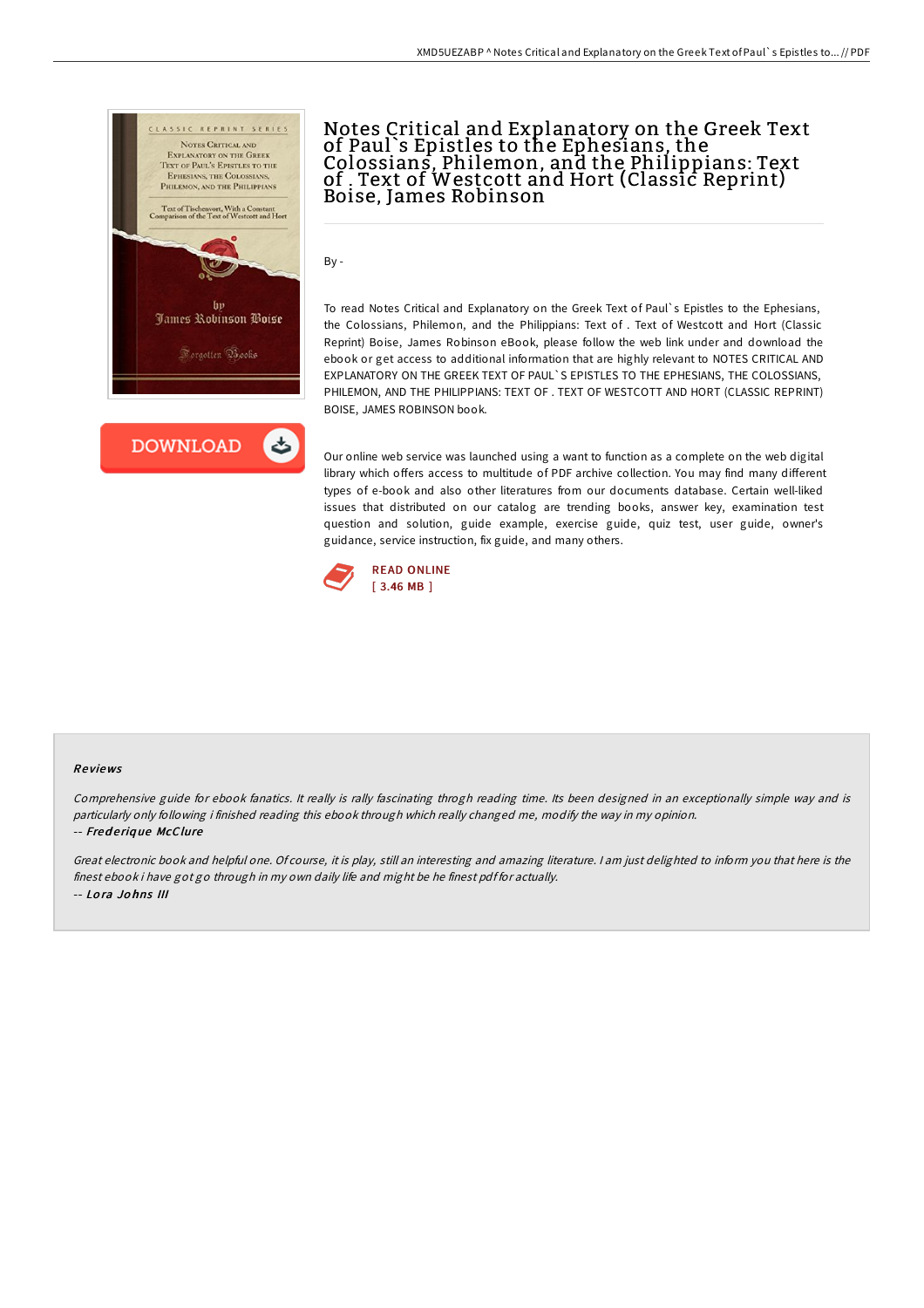



# Notes Critical and Explanatory on the Greek Text of Paul`s Epistles to the Ephesians, the Colossians, Philemon, and the Philippians: Text of . Text of Westcott and Hort (Classic Reprint) Boise, James Robinson

By -

To read Notes Critical and Explanatory on the Greek Text of Paul`s Epistles to the Ephesians, the Colossians, Philemon, and the Philippians: Text of . Text of Westcott and Hort (Classic Reprint) Boise, James Robinson eBook, please follow the web link under and download the ebook or get access to additional information that are highly relevant to NOTES CRITICAL AND EXPLANATORY ON THE GREEK TEXT OF PAUL`S EPISTLES TO THE EPHESIANS, THE COLOSSIANS, PHILEMON, AND THE PHILIPPIANS: TEXT OF . TEXT OF WESTCOTT AND HORT (CLASSIC REPRINT) BOISE, JAMES ROBINSON book.

Our online web service was launched using a want to function as a complete on the web digital library which offers access to multitude of PDF archive collection. You may find many different types of e-book and also other literatures from our documents database. Certain well-liked issues that distributed on our catalog are trending books, answer key, examination test question and solution, guide example, exercise guide, quiz test, user guide, owner's guidance, service instruction, fix guide, and many others.



#### Re views

Comprehensive guide for ebook fanatics. It really is rally fascinating throgh reading time. Its been designed in an exceptionally simple way and is particularly only following i finished reading this ebook through which really changed me, modify the way in my opinion. -- Fred <sup>e</sup> riq ue McClure

Great electronic book and helpful one. Of course, it is play, still an interesting and amazing literature. <sup>I</sup> am just delighted to inform you that here is the finest ebook i have got go through in my own daily life and might be he finest pdf for actually. -- Lo ra Jo hns III